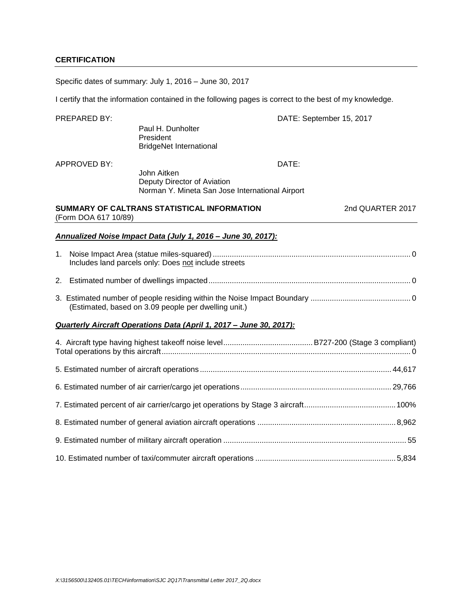Specific dates of summary: July 1, 2016 – June 30, 2017

I certify that the information contained in the following pages is correct to the best of my knowledge.

| PREPARED BY:         |                                                                                               | DATE: September 15, 2017 |
|----------------------|-----------------------------------------------------------------------------------------------|--------------------------|
|                      | Paul H. Dunholter<br>President<br><b>BridgeNet International</b>                              |                          |
| <b>APPROVED BY:</b>  |                                                                                               | DATE:                    |
|                      | John Aitken<br>Deputy Director of Aviation<br>Norman Y. Mineta San Jose International Airport |                          |
| (Form DOA 617 10/89) | SUMMARY OF CALTRANS STATISTICAL INFORMATION                                                   | 2nd QUARTER 2017         |
|                      | Annualized Noise Impact Data (July 1, 2016 - June 30, 2017):                                  |                          |
|                      | Includes land parcels only: Does not include streets                                          |                          |
|                      |                                                                                               |                          |
|                      | (Estimated, based on 3.09 people per dwelling unit.)                                          |                          |
|                      | Quarterly Aircraft Operations Data (April 1, 2017 - June 30, 2017):                           |                          |
|                      |                                                                                               |                          |
|                      |                                                                                               |                          |
|                      |                                                                                               |                          |
|                      |                                                                                               |                          |
|                      |                                                                                               |                          |
|                      |                                                                                               |                          |
|                      |                                                                                               |                          |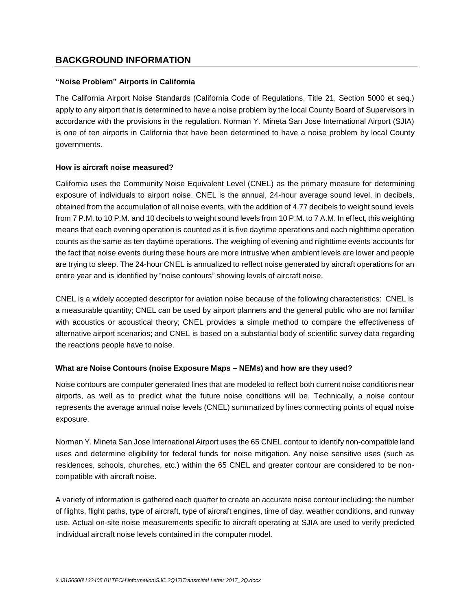### **BACKGROUND INFORMATION**

#### **"Noise Problem" Airports in California**

The California Airport Noise Standards (California Code of Regulations, Title 21, Section 5000 et seq.) apply to any airport that is determined to have a noise problem by the local County Board of Supervisors in accordance with the provisions in the regulation. Norman Y. Mineta San Jose International Airport (SJIA) is one of ten airports in California that have been determined to have a noise problem by local County governments.

#### **How is aircraft noise measured?**

California uses the Community Noise Equivalent Level (CNEL) as the primary measure for determining exposure of individuals to airport noise. CNEL is the annual, 24-hour average sound level, in decibels, obtained from the accumulation of all noise events, with the addition of 4.77 decibels to weight sound levels from 7 P.M. to 10 P.M. and 10 decibels to weight sound levels from 10 P.M. to 7 A.M. In effect, this weighting means that each evening operation is counted as it is five daytime operations and each nighttime operation counts as the same as ten daytime operations. The weighing of evening and nighttime events accounts for the fact that noise events during these hours are more intrusive when ambient levels are lower and people are trying to sleep. The 24-hour CNEL is annualized to reflect noise generated by aircraft operations for an entire year and is identified by "noise contours" showing levels of aircraft noise.

CNEL is a widely accepted descriptor for aviation noise because of the following characteristics: CNEL is a measurable quantity; CNEL can be used by airport planners and the general public who are not familiar with acoustics or acoustical theory; CNEL provides a simple method to compare the effectiveness of alternative airport scenarios; and CNEL is based on a substantial body of scientific survey data regarding the reactions people have to noise.

### **What are Noise Contours (noise Exposure Maps – NEMs) and how are they used?**

Noise contours are computer generated lines that are modeled to reflect both current noise conditions near airports, as well as to predict what the future noise conditions will be. Technically, a noise contour represents the average annual noise levels (CNEL) summarized by lines connecting points of equal noise exposure.

Norman Y. Mineta San Jose International Airport uses the 65 CNEL contour to identify non-compatible land uses and determine eligibility for federal funds for noise mitigation. Any noise sensitive uses (such as residences, schools, churches, etc.) within the 65 CNEL and greater contour are considered to be noncompatible with aircraft noise.

A variety of information is gathered each quarter to create an accurate noise contour including: the number of flights, flight paths, type of aircraft, type of aircraft engines, time of day, weather conditions, and runway use. Actual on-site noise measurements specific to aircraft operating at SJIA are used to verify predicted individual aircraft noise levels contained in the computer model.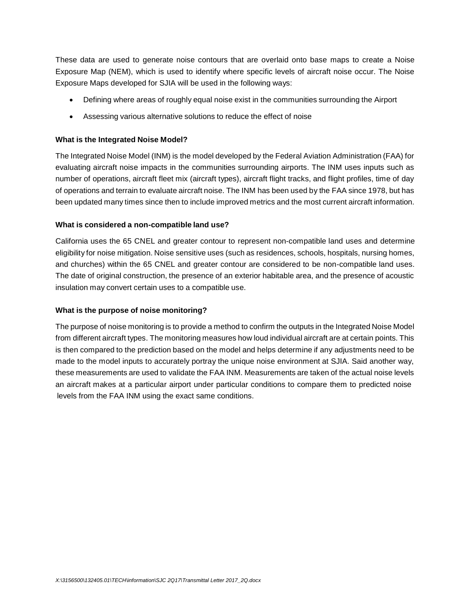These data are used to generate noise contours that are overlaid onto base maps to create a Noise Exposure Map (NEM), which is used to identify where specific levels of aircraft noise occur. The Noise Exposure Maps developed for SJIA will be used in the following ways:

- Defining where areas of roughly equal noise exist in the communities surrounding the Airport
- Assessing various alternative solutions to reduce the effect of noise

### **What is the Integrated Noise Model?**

The Integrated Noise Model (INM) is the model developed by the Federal Aviation Administration (FAA) for evaluating aircraft noise impacts in the communities surrounding airports. The INM uses inputs such as number of operations, aircraft fleet mix (aircraft types), aircraft flight tracks, and flight profiles, time of day of operations and terrain to evaluate aircraft noise. The INM has been used by the FAA since 1978, but has been updated many times since then to include improved metrics and the most current aircraft information.

#### **What is considered a non-compatible land use?**

California uses the 65 CNEL and greater contour to represent non-compatible land uses and determine eligibility for noise mitigation. Noise sensitive uses (such as residences, schools, hospitals, nursing homes, and churches) within the 65 CNEL and greater contour are considered to be non-compatible land uses. The date of original construction, the presence of an exterior habitable area, and the presence of acoustic insulation may convert certain uses to a compatible use.

### **What is the purpose of noise monitoring?**

The purpose of noise monitoring is to provide a method to confirm the outputs in the Integrated Noise Model from different aircraft types. The monitoring measures how loud individual aircraft are at certain points. This is then compared to the prediction based on the model and helps determine if any adjustments need to be made to the model inputs to accurately portray the unique noise environment at SJIA. Said another way, these measurements are used to validate the FAA INM. Measurements are taken of the actual noise levels an aircraft makes at a particular airport under particular conditions to compare them to predicted noise levels from the FAA INM using the exact same conditions.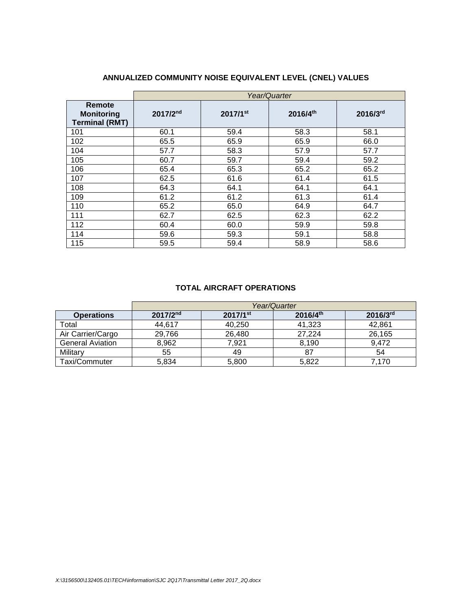|                                                      |          | Year/Quarter |          |          |  |  |  |  |  |  |  |  |
|------------------------------------------------------|----------|--------------|----------|----------|--|--|--|--|--|--|--|--|
| Remote<br><b>Monitoring</b><br><b>Terminal (RMT)</b> | 2017/2nd | 2017/1st     | 2016/4th | 2016/3rd |  |  |  |  |  |  |  |  |
| 101                                                  | 60.1     | 59.4         | 58.3     | 58.1     |  |  |  |  |  |  |  |  |
| 102                                                  | 65.5     | 65.9         | 65.9     | 66.0     |  |  |  |  |  |  |  |  |
| 104                                                  | 57.7     | 58.3         | 57.9     | 57.7     |  |  |  |  |  |  |  |  |
| 105                                                  | 60.7     | 59.7         | 59.4     | 59.2     |  |  |  |  |  |  |  |  |
| 106                                                  | 65.4     | 65.3         | 65.2     | 65.2     |  |  |  |  |  |  |  |  |
| 107                                                  | 62.5     | 61.6         | 61.4     | 61.5     |  |  |  |  |  |  |  |  |
| 108                                                  | 64.3     | 64.1         | 64.1     | 64.1     |  |  |  |  |  |  |  |  |
| 109                                                  | 61.2     | 61.2         | 61.3     | 61.4     |  |  |  |  |  |  |  |  |
| 110                                                  | 65.2     | 65.0         | 64.9     | 64.7     |  |  |  |  |  |  |  |  |
| 111                                                  | 62.7     | 62.5         | 62.3     | 62.2     |  |  |  |  |  |  |  |  |
| 112                                                  | 60.4     | 60.0         | 59.9     | 59.8     |  |  |  |  |  |  |  |  |
| 114                                                  | 59.6     | 59.3         | 59.1     | 58.8     |  |  |  |  |  |  |  |  |
| 115                                                  | 59.5     | 59.4         | 58.9     | 58.6     |  |  |  |  |  |  |  |  |

# **ANNUALIZED COMMUNITY NOISE EQUIVALENT LEVEL (CNEL) VALUES**

#### **TOTAL AIRCRAFT OPERATIONS**

|                         | Year/Quarter  |                        |          |               |  |  |  |  |  |  |  |
|-------------------------|---------------|------------------------|----------|---------------|--|--|--|--|--|--|--|
| <b>Operations</b>       | $2017/2^{nd}$ | $2017/1$ <sup>st</sup> | 2016/4th | $2016/3^{rd}$ |  |  |  |  |  |  |  |
| Total                   | 44.617        | 40.250                 | 41.323   | 42.861        |  |  |  |  |  |  |  |
| Air Carrier/Cargo       | 29.766        | 26,480                 | 27.224   | 26,165        |  |  |  |  |  |  |  |
| <b>General Aviation</b> | 8,962         | 7.921                  | 8.190    | 9.472         |  |  |  |  |  |  |  |
| Military                | 55            | 49                     | 87       | 54            |  |  |  |  |  |  |  |
| Taxi/Commuter           | 5,834         | 5,800                  | 5,822    | 7.170         |  |  |  |  |  |  |  |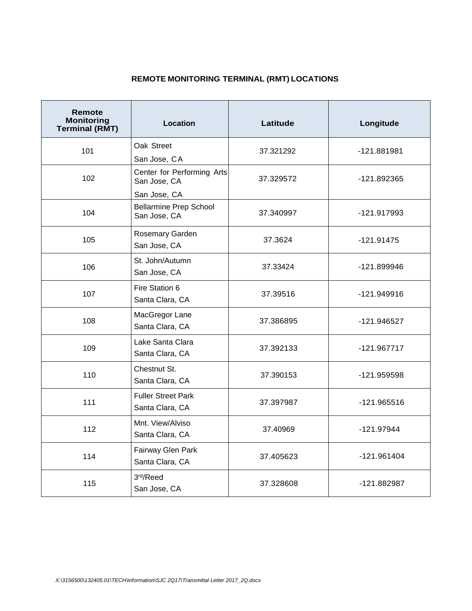# **REMOTE MONITORING TERMINAL (RMT) LOCATIONS**

| Remote<br><b>Monitoring</b><br><b>Terminal (RMT)</b> | Location                                      | Latitude  | Longitude     |  |  |
|------------------------------------------------------|-----------------------------------------------|-----------|---------------|--|--|
| 101                                                  | Oak Street                                    | 37.321292 | -121.881981   |  |  |
|                                                      | San Jose, CA                                  |           |               |  |  |
| 102                                                  | Center for Performing Arts<br>San Jose, CA    | 37.329572 | -121.892365   |  |  |
|                                                      | San Jose, CA                                  |           |               |  |  |
| 104                                                  | <b>Bellarmine Prep School</b><br>San Jose, CA | 37.340997 | -121.917993   |  |  |
| 105                                                  | Rosemary Garden<br>San Jose, CA               | 37.3624   | $-121.91475$  |  |  |
| 106                                                  | St. John/Autumn<br>San Jose, CA               | 37.33424  | -121.899946   |  |  |
| 107                                                  | Fire Station 6<br>Santa Clara, CA             | 37.39516  | -121.949916   |  |  |
| 108                                                  | MacGregor Lane<br>Santa Clara, CA             | 37.386895 | -121.946527   |  |  |
| 109                                                  | Lake Santa Clara<br>Santa Clara, CA           | 37.392133 | $-121.967717$ |  |  |
| 110                                                  | Chestnut St.<br>Santa Clara, CA               | 37.390153 | -121.959598   |  |  |
| 111                                                  | <b>Fuller Street Park</b><br>Santa Clara, CA  | 37.397987 | -121.965516   |  |  |
| 112                                                  | Mnt. View/Alviso<br>Santa Clara, CA           | 37.40969  | -121.97944    |  |  |
| 114                                                  | Fairway Glen Park<br>Santa Clara, CA          | 37.405623 | -121.961404   |  |  |
| 115                                                  | 3rd/Reed<br>San Jose, CA                      | 37.328608 | -121.882987   |  |  |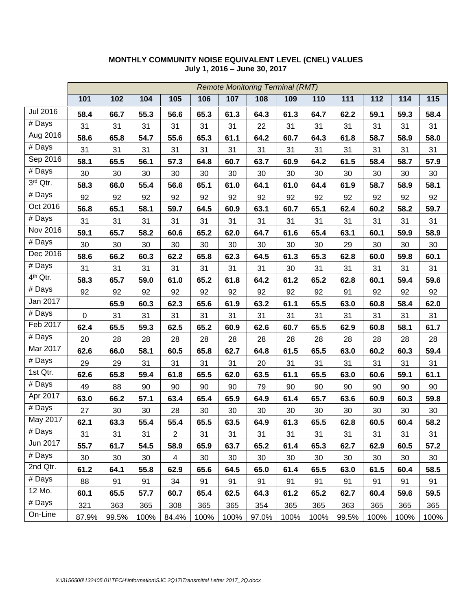|                      |             | <b>Remote Monitoring Terminal (RMT)</b> |      |                |      |      |       |      |      |       |      |      |      |
|----------------------|-------------|-----------------------------------------|------|----------------|------|------|-------|------|------|-------|------|------|------|
|                      | 101         | 102                                     | 104  | 105            | 106  | 107  | 108   | 109  | 110  | 111   | 112  | 114  | 115  |
| <b>Jul 2016</b>      | 58.4        | 66.7                                    | 55.3 | 56.6           | 65.3 | 61.3 | 64.3  | 61.3 | 64.7 | 62.2  | 59.1 | 59.3 | 58.4 |
| # Days               | 31          | 31                                      | 31   | 31             | 31   | 31   | 22    | 31   | 31   | 31    | 31   | 31   | 31   |
| Aug 2016             | 58.6        | 65.8                                    | 54.7 | 55.6           | 65.3 | 61.1 | 64.2  | 60.7 | 64.3 | 61.8  | 58.7 | 58.9 | 58.0 |
| # Days               | 31          | 31                                      | 31   | 31             | 31   | 31   | 31    | 31   | 31   | 31    | 31   | 31   | 31   |
| Sep 2016             | 58.1        | 65.5                                    | 56.1 | 57.3           | 64.8 | 60.7 | 63.7  | 60.9 | 64.2 | 61.5  | 58.4 | 58.7 | 57.9 |
| $\overline{\#}$ Days | 30          | 30                                      | 30   | 30             | 30   | 30   | 30    | 30   | 30   | 30    | 30   | 30   | 30   |
| 3rd Qtr.             | 58.3        | 66.0                                    | 55.4 | 56.6           | 65.1 | 61.0 | 64.1  | 61.0 | 64.4 | 61.9  | 58.7 | 58.9 | 58.1 |
| # Days               | 92          | 92                                      | 92   | 92             | 92   | 92   | 92    | 92   | 92   | 92    | 92   | 92   | 92   |
| Oct 2016             | 56.8        | 65.1                                    | 58.1 | 59.7           | 64.5 | 60.9 | 63.1  | 60.7 | 65.1 | 62.4  | 60.2 | 58.2 | 59.7 |
| # Days               | 31          | 31                                      | 31   | 31             | 31   | 31   | 31    | 31   | 31   | 31    | 31   | 31   | 31   |
| Nov 2016             | 59.1        | 65.7                                    | 58.2 | 60.6           | 65.2 | 62.0 | 64.7  | 61.6 | 65.4 | 63.1  | 60.1 | 59.9 | 58.9 |
| # Days               | 30          | 30                                      | 30   | 30             | 30   | 30   | 30    | 30   | 30   | 29    | 30   | 30   | 30   |
| Dec 2016             | 58.6        | 66.2                                    | 60.3 | 62.2           | 65.8 | 62.3 | 64.5  | 61.3 | 65.3 | 62.8  | 60.0 | 59.8 | 60.1 |
| $\overline{\#}$ Days | 31          | 31                                      | 31   | 31             | 31   | 31   | 31    | 30   | 31   | 31    | 31   | 31   | 31   |
| 4 <sup>th</sup> Qtr. | 58.3        | 65.7                                    | 59.0 | 61.0           | 65.2 | 61.8 | 64.2  | 61.2 | 65.2 | 62.8  | 60.1 | 59.4 | 59.6 |
| # Days               | 92          | 92                                      | 92   | 92             | 92   | 92   | 92    | 92   | 92   | 91    | 92   | 92   | 92   |
| Jan 2017             |             | 65.9                                    | 60.3 | 62.3           | 65.6 | 61.9 | 63.2  | 61.1 | 65.5 | 63.0  | 60.8 | 58.4 | 62.0 |
| $\overline{\#}$ Days | $\mathbf 0$ | 31                                      | 31   | 31             | 31   | 31   | 31    | 31   | 31   | 31    | 31   | 31   | 31   |
| Feb 2017             | 62.4        | 65.5                                    | 59.3 | 62.5           | 65.2 | 60.9 | 62.6  | 60.7 | 65.5 | 62.9  | 60.8 | 58.1 | 61.7 |
| $\overline{\#}$ Days | 20          | 28                                      | 28   | 28             | 28   | 28   | 28    | 28   | 28   | 28    | 28   | 28   | 28   |
| Mar 2017             | 62.6        | 66.0                                    | 58.1 | 60.5           | 65.8 | 62.7 | 64.8  | 61.5 | 65.5 | 63.0  | 60.2 | 60.3 | 59.4 |
| # Days               | 29          | 29                                      | 31   | 31             | 31   | 31   | 20    | 31   | 31   | 31    | 31   | 31   | 31   |
| 1st Qtr.             | 62.6        | 65.8                                    | 59.4 | 61.8           | 65.5 | 62.0 | 63.5  | 61.1 | 65.5 | 63.0  | 60.6 | 59.1 | 61.1 |
| # Days               | 49          | 88                                      | 90   | 90             | 90   | 90   | 79    | 90   | 90   | 90    | 90   | 90   | 90   |
| Apr 2017             | 63.0        | 66.2                                    | 57.1 | 63.4           | 65.4 | 65.9 | 64.9  | 61.4 | 65.7 | 63.6  | 60.9 | 60.3 | 59.8 |
| # Days               | 27          | 30                                      | 30   | 28             | 30   | 30   | 30    | 30   | 30   | 30    | 30   | 30   | 30   |
| May 2017             | 62.1        | 63.3                                    | 55.4 | 55.4           | 65.5 | 63.5 | 64.9  | 61.3 | 65.5 | 62.8  | 60.5 | 60.4 | 58.2 |
| # Days               | 31          | 31                                      | 31   | $\overline{2}$ | 31   | 31   | 31    | 31   | 31   | 31    | 31   | 31   | 31   |
| Jun 2017             | 55.7        | 61.7                                    | 54.5 | 58.9           | 65.9 | 63.7 | 65.2  | 61.4 | 65.3 | 62.7  | 62.9 | 60.5 | 57.2 |
| # Days               | 30          | 30                                      | 30   | 4              | 30   | 30   | 30    | 30   | 30   | 30    | 30   | 30   | 30   |
| 2nd Qtr.             | 61.2        | 64.1                                    | 55.8 | 62.9           | 65.6 | 64.5 | 65.0  | 61.4 | 65.5 | 63.0  | 61.5 | 60.4 | 58.5 |
| # Days               | 88          | 91                                      | 91   | 34             | 91   | 91   | 91    | 91   | 91   | 91    | 91   | 91   | 91   |
| 12 Mo.               | 60.1        | 65.5                                    | 57.7 | 60.7           | 65.4 | 62.5 | 64.3  | 61.2 | 65.2 | 62.7  | 60.4 | 59.6 | 59.5 |
| $\overline{\#}$ Days | 321         | 363                                     | 365  | 308            | 365  | 365  | 354   | 365  | 365  | 363   | 365  | 365  | 365  |
| On-Line              | 87.9%       | 99.5%                                   | 100% | 84.4%          | 100% | 100% | 97.0% | 100% | 100% | 99.5% | 100% | 100% | 100% |

### **MONTHLY COMMUNITY NOISE EQUIVALENT LEVEL (CNEL) VALUES July 1, 2016 – June 30, 2017**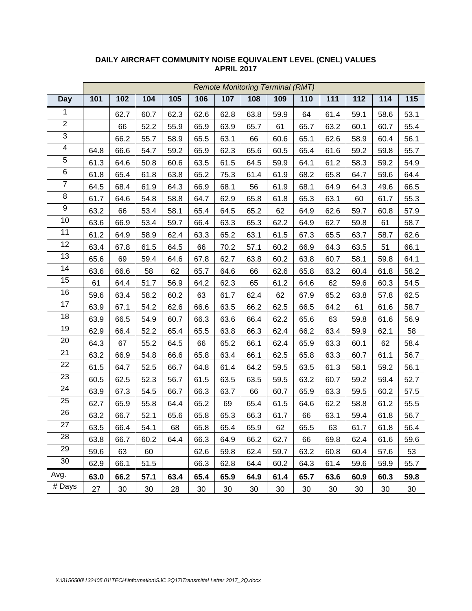|                         | <b>Remote Monitoring Terminal (RMT)</b> |      |      |      |      |      |      |      |      |      |      |      |      |
|-------------------------|-----------------------------------------|------|------|------|------|------|------|------|------|------|------|------|------|
| <b>Day</b>              | 101                                     | 102  | 104  | 105  | 106  | 107  | 108  | 109  | 110  | 111  | 112  | 114  | 115  |
| $\mathbf{1}$            |                                         | 62.7 | 60.7 | 62.3 | 62.6 | 62.8 | 63.8 | 59.9 | 64   | 61.4 | 59.1 | 58.6 | 53.1 |
| $\overline{2}$          |                                         | 66   | 52.2 | 55.9 | 65.9 | 63.9 | 65.7 | 61   | 65.7 | 63.2 | 60.1 | 60.7 | 55.4 |
| $\overline{3}$          |                                         | 66.2 | 55.7 | 58.9 | 65.5 | 63.1 | 66   | 60.6 | 65.1 | 62.6 | 58.9 | 60.4 | 56.1 |
| $\overline{\mathbf{4}}$ | 64.8                                    | 66.6 | 54.7 | 59.2 | 65.9 | 62.3 | 65.6 | 60.5 | 65.4 | 61.6 | 59.2 | 59.8 | 55.7 |
| $\overline{5}$          | 61.3                                    | 64.6 | 50.8 | 60.6 | 63.5 | 61.5 | 64.5 | 59.9 | 64.1 | 61.2 | 58.3 | 59.2 | 54.9 |
| 6                       | 61.8                                    | 65.4 | 61.8 | 63.8 | 65.2 | 75.3 | 61.4 | 61.9 | 68.2 | 65.8 | 64.7 | 59.6 | 64.4 |
| $\overline{7}$          | 64.5                                    | 68.4 | 61.9 | 64.3 | 66.9 | 68.1 | 56   | 61.9 | 68.1 | 64.9 | 64.3 | 49.6 | 66.5 |
| $\,8\,$                 | 61.7                                    | 64.6 | 54.8 | 58.8 | 64.7 | 62.9 | 65.8 | 61.8 | 65.3 | 63.1 | 60   | 61.7 | 55.3 |
| 9                       | 63.2                                    | 66   | 53.4 | 58.1 | 65.4 | 64.5 | 65.2 | 62   | 64.9 | 62.6 | 59.7 | 60.8 | 57.9 |
| 10                      | 63.6                                    | 66.9 | 53.4 | 59.7 | 66.4 | 63.3 | 65.3 | 62.2 | 64.9 | 62.7 | 59.8 | 61   | 58.7 |
| 11                      | 61.2                                    | 64.9 | 58.9 | 62.4 | 63.3 | 65.2 | 63.1 | 61.5 | 67.3 | 65.5 | 63.7 | 58.7 | 62.6 |
| 12                      | 63.4                                    | 67.8 | 61.5 | 64.5 | 66   | 70.2 | 57.1 | 60.2 | 66.9 | 64.3 | 63.5 | 51   | 66.1 |
| 13                      | 65.6                                    | 69   | 59.4 | 64.6 | 67.8 | 62.7 | 63.8 | 60.2 | 63.8 | 60.7 | 58.1 | 59.8 | 64.1 |
| 14                      | 63.6                                    | 66.6 | 58   | 62   | 65.7 | 64.6 | 66   | 62.6 | 65.8 | 63.2 | 60.4 | 61.8 | 58.2 |
| 15                      | 61                                      | 64.4 | 51.7 | 56.9 | 64.2 | 62.3 | 65   | 61.2 | 64.6 | 62   | 59.6 | 60.3 | 54.5 |
| 16                      | 59.6                                    | 63.4 | 58.2 | 60.2 | 63   | 61.7 | 62.4 | 62   | 67.9 | 65.2 | 63.8 | 57.8 | 62.5 |
| 17                      | 63.9                                    | 67.1 | 54.2 | 62.6 | 66.6 | 63.5 | 66.2 | 62.5 | 66.5 | 64.2 | 61   | 61.6 | 58.7 |
| 18                      | 63.9                                    | 66.5 | 54.9 | 60.7 | 66.3 | 63.6 | 66.4 | 62.2 | 65.6 | 63   | 59.8 | 61.6 | 56.9 |
| 19                      | 62.9                                    | 66.4 | 52.2 | 65.4 | 65.5 | 63.8 | 66.3 | 62.4 | 66.2 | 63.4 | 59.9 | 62.1 | 58   |
| 20                      | 64.3                                    | 67   | 55.2 | 64.5 | 66   | 65.2 | 66.1 | 62.4 | 65.9 | 63.3 | 60.1 | 62   | 58.4 |
| 21                      | 63.2                                    | 66.9 | 54.8 | 66.6 | 65.8 | 63.4 | 66.1 | 62.5 | 65.8 | 63.3 | 60.7 | 61.1 | 56.7 |
| 22                      | 61.5                                    | 64.7 | 52.5 | 66.7 | 64.8 | 61.4 | 64.2 | 59.5 | 63.5 | 61.3 | 58.1 | 59.2 | 56.1 |
| 23                      | 60.5                                    | 62.5 | 52.3 | 56.7 | 61.5 | 63.5 | 63.5 | 59.5 | 63.2 | 60.7 | 59.2 | 59.4 | 52.7 |
| 24                      | 63.9                                    | 67.3 | 54.5 | 66.7 | 66.3 | 63.7 | 66   | 60.7 | 65.9 | 63.3 | 59.5 | 60.2 | 57.5 |
| 25                      | 62.7                                    | 65.9 | 55.8 | 64.4 | 65.2 | 69   | 65.4 | 61.5 | 64.6 | 62.2 | 58.8 | 61.2 | 55.5 |
| 26                      | 63.2                                    | 66.7 | 52.1 | 65.6 | 65.8 | 65.3 | 66.3 | 61.7 | 66   | 63.1 | 59.4 | 61.8 | 56.7 |
| 27                      | 63.5                                    | 66.4 | 54.1 | 68   | 65.8 | 65.4 | 65.9 | 62   | 65.5 | 63   | 61.7 | 61.8 | 56.4 |
| 28                      | 63.8                                    | 66.7 | 60.2 | 64.4 | 66.3 | 64.9 | 66.2 | 62.7 | 66   | 69.8 | 62.4 | 61.6 | 59.6 |
| 29                      | 59.6                                    | 63   | 60   |      | 62.6 | 59.8 | 62.4 | 59.7 | 63.2 | 60.8 | 60.4 | 57.6 | 53   |
| 30                      | 62.9                                    | 66.1 | 51.5 |      | 66.3 | 62.8 | 64.4 | 60.2 | 64.3 | 61.4 | 59.6 | 59.9 | 55.7 |
| Avg.                    | 63.0                                    | 66.2 | 57.1 | 63.4 | 65.4 | 65.9 | 64.9 | 61.4 | 65.7 | 63.6 | 60.9 | 60.3 | 59.8 |
| # Days                  | 27                                      | 30   | 30   | 28   | 30   | 30   | 30   | 30   | 30   | 30   | 30   | 30   | 30   |

### **DAILY AIRCRAFT COMMUNITY NOISE EQUIVALENT LEVEL (CNEL) VALUES APRIL 2017**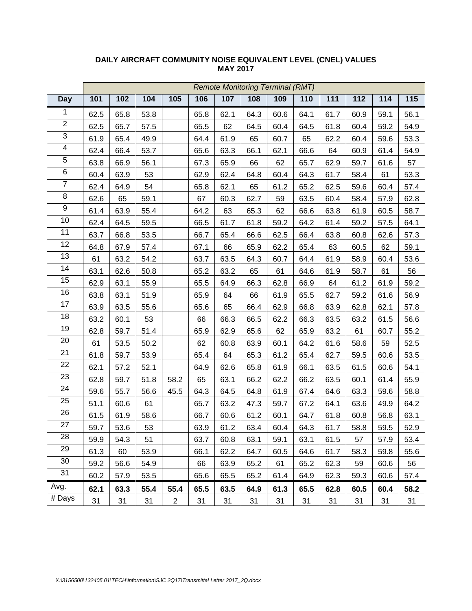|                         | <b>Remote Monitoring Terminal (RMT)</b> |      |      |                |      |      |      |      |      |      |      |      |      |
|-------------------------|-----------------------------------------|------|------|----------------|------|------|------|------|------|------|------|------|------|
| <b>Day</b>              | 101                                     | 102  | 104  | 105            | 106  | 107  | 108  | 109  | 110  | 111  | 112  | 114  | 115  |
| $\mathbf{1}$            | 62.5                                    | 65.8 | 53.8 |                | 65.8 | 62.1 | 64.3 | 60.6 | 64.1 | 61.7 | 60.9 | 59.1 | 56.1 |
| $\overline{2}$          | 62.5                                    | 65.7 | 57.5 |                | 65.5 | 62   | 64.5 | 60.4 | 64.5 | 61.8 | 60.4 | 59.2 | 54.9 |
| 3                       | 61.9                                    | 65.4 | 49.9 |                | 64.4 | 61.9 | 65   | 60.7 | 65   | 62.2 | 60.4 | 59.6 | 53.3 |
| $\overline{\mathbf{4}}$ | 62.4                                    | 66.4 | 53.7 |                | 65.6 | 63.3 | 66.1 | 62.1 | 66.6 | 64   | 60.9 | 61.4 | 54.9 |
| $\overline{5}$          | 63.8                                    | 66.9 | 56.1 |                | 67.3 | 65.9 | 66   | 62   | 65.7 | 62.9 | 59.7 | 61.6 | 57   |
| 6                       | 60.4                                    | 63.9 | 53   |                | 62.9 | 62.4 | 64.8 | 60.4 | 64.3 | 61.7 | 58.4 | 61   | 53.3 |
| $\overline{7}$          | 62.4                                    | 64.9 | 54   |                | 65.8 | 62.1 | 65   | 61.2 | 65.2 | 62.5 | 59.6 | 60.4 | 57.4 |
| $\,8\,$                 | 62.6                                    | 65   | 59.1 |                | 67   | 60.3 | 62.7 | 59   | 63.5 | 60.4 | 58.4 | 57.9 | 62.8 |
| 9                       | 61.4                                    | 63.9 | 55.4 |                | 64.2 | 63   | 65.3 | 62   | 66.6 | 63.8 | 61.9 | 60.5 | 58.7 |
| 10                      | 62.4                                    | 64.5 | 59.5 |                | 66.5 | 61.7 | 61.8 | 59.2 | 64.2 | 61.4 | 59.2 | 57.5 | 64.1 |
| 11                      | 63.7                                    | 66.8 | 53.5 |                | 66.7 | 65.4 | 66.6 | 62.5 | 66.4 | 63.8 | 60.8 | 62.6 | 57.3 |
| 12                      | 64.8                                    | 67.9 | 57.4 |                | 67.1 | 66   | 65.9 | 62.2 | 65.4 | 63   | 60.5 | 62   | 59.1 |
| 13                      | 61                                      | 63.2 | 54.2 |                | 63.7 | 63.5 | 64.3 | 60.7 | 64.4 | 61.9 | 58.9 | 60.4 | 53.6 |
| 14                      | 63.1                                    | 62.6 | 50.8 |                | 65.2 | 63.2 | 65   | 61   | 64.6 | 61.9 | 58.7 | 61   | 56   |
| 15                      | 62.9                                    | 63.1 | 55.9 |                | 65.5 | 64.9 | 66.3 | 62.8 | 66.9 | 64   | 61.2 | 61.9 | 59.2 |
| 16                      | 63.8                                    | 63.1 | 51.9 |                | 65.9 | 64   | 66   | 61.9 | 65.5 | 62.7 | 59.2 | 61.6 | 56.9 |
| 17                      | 63.9                                    | 63.5 | 55.6 |                | 65.6 | 65   | 66.4 | 62.9 | 66.8 | 63.9 | 62.8 | 62.1 | 57.8 |
| 18                      | 63.2                                    | 60.1 | 53   |                | 66   | 66.3 | 66.5 | 62.2 | 66.3 | 63.5 | 63.2 | 61.5 | 56.6 |
| 19                      | 62.8                                    | 59.7 | 51.4 |                | 65.9 | 62.9 | 65.6 | 62   | 65.9 | 63.2 | 61   | 60.7 | 55.2 |
| 20                      | 61                                      | 53.5 | 50.2 |                | 62   | 60.8 | 63.9 | 60.1 | 64.2 | 61.6 | 58.6 | 59   | 52.5 |
| 21                      | 61.8                                    | 59.7 | 53.9 |                | 65.4 | 64   | 65.3 | 61.2 | 65.4 | 62.7 | 59.5 | 60.6 | 53.5 |
| 22                      | 62.1                                    | 57.2 | 52.1 |                | 64.9 | 62.6 | 65.8 | 61.9 | 66.1 | 63.5 | 61.5 | 60.6 | 54.1 |
| 23                      | 62.8                                    | 59.7 | 51.8 | 58.2           | 65   | 63.1 | 66.2 | 62.2 | 66.2 | 63.5 | 60.1 | 61.4 | 55.9 |
| 24                      | 59.6                                    | 55.7 | 56.6 | 45.5           | 64.3 | 64.5 | 64.8 | 61.9 | 67.4 | 64.6 | 63.3 | 59.6 | 58.8 |
| 25                      | 51.1                                    | 60.6 | 61   |                | 65.7 | 63.2 | 47.3 | 59.7 | 67.2 | 64.1 | 63.6 | 49.9 | 64.2 |
| 26                      | 61.5                                    | 61.9 | 58.6 |                | 66.7 | 60.6 | 61.2 | 60.1 | 64.7 | 61.8 | 60.8 | 56.8 | 63.1 |
| 27                      | 59.7                                    | 53.6 | 53   |                | 63.9 | 61.2 | 63.4 | 60.4 | 64.3 | 61.7 | 58.8 | 59.5 | 52.9 |
| 28                      | 59.9                                    | 54.3 | 51   |                | 63.7 | 60.8 | 63.1 | 59.1 | 63.1 | 61.5 | 57   | 57.9 | 53.4 |
| 29                      | 61.3                                    | 60   | 53.9 |                | 66.1 | 62.2 | 64.7 | 60.5 | 64.6 | 61.7 | 58.3 | 59.8 | 55.6 |
| 30                      | 59.2                                    | 56.6 | 54.9 |                | 66   | 63.9 | 65.2 | 61   | 65.2 | 62.3 | 59   | 60.6 | 56   |
| 31                      | 60.2                                    | 57.9 | 53.5 |                | 65.6 | 65.5 | 65.2 | 61.4 | 64.9 | 62.3 | 59.3 | 60.6 | 57.4 |
| Avg.                    | 62.1                                    | 63.3 | 55.4 | 55.4           | 65.5 | 63.5 | 64.9 | 61.3 | 65.5 | 62.8 | 60.5 | 60.4 | 58.2 |
| # Days                  | 31                                      | 31   | 31   | $\overline{2}$ | 31   | 31   | 31   | 31   | 31   | 31   | 31   | 31   | 31   |

### **DAILY AIRCRAFT COMMUNITY NOISE EQUIVALENT LEVEL (CNEL) VALUES MAY 2017**